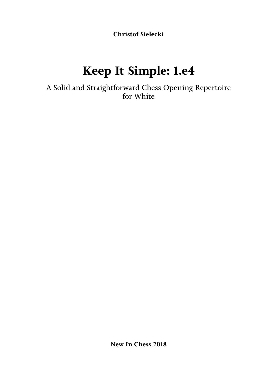**Christof Sielecki**

# **Keep It Simple: 1.e4**

A Solid and Straightforward Chess Opening Repertoire for White

**New In Chess 2018**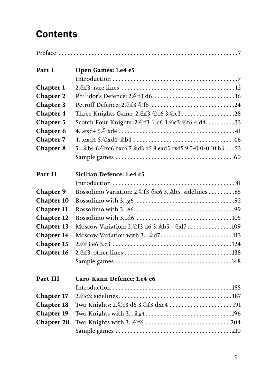## **Contents**

| Part I                                                                                       | Open Games: 1.e4 e5                                          |
|----------------------------------------------------------------------------------------------|--------------------------------------------------------------|
|                                                                                              |                                                              |
| <b>Chapter 1</b>                                                                             |                                                              |
| <b>Chapter 2</b>                                                                             | Philidor's Defence: 2. 行3 d6  16                             |
| <b>Chapter 3</b>                                                                             |                                                              |
| <b>Chapter 4</b>                                                                             | Three Knights Game: 2. 43 4c6 3. 4c328                       |
| <b>Chapter 5</b>                                                                             | Scotch Four Knights: 2. f3 公c6 3. 公c3 公f6 4. d4. 33          |
| <b>Chapter 6</b>                                                                             |                                                              |
| <b>Chapter 7</b>                                                                             |                                                              |
| <b>Chapter 8</b>                                                                             | 5 \$b4 6.2xc6 bxc6 7. \$d3 d5 8.exd5 cxd5 9.0-0 0-0 10.h3 53 |
|                                                                                              |                                                              |
|                                                                                              |                                                              |
| Part II                                                                                      | Sicilian Defence: 1.e4 c5                                    |
|                                                                                              |                                                              |
| <b>Chapter 9</b>                                                                             | Rossolimo Variation: 2. 463 4c6 3. \$b5, sidelines 85        |
| <b>Chapter 10</b>                                                                            |                                                              |
| <b>Chapter 11</b>                                                                            |                                                              |
| <b>Chapter 12</b>                                                                            |                                                              |
| <b>Chapter 13</b>                                                                            | Moscow Variation: 2. 46 3. 46 3. 4b5+ 4d7109                 |
| <b>Chapter 14</b>                                                                            | Moscow Variation with 3 âd7 113                              |
| <b>Chapter 15</b>                                                                            |                                                              |
| <b>Chapter 16</b>                                                                            |                                                              |
|                                                                                              |                                                              |
|                                                                                              |                                                              |
|                                                                                              |                                                              |
|                                                                                              |                                                              |
|                                                                                              |                                                              |
|                                                                                              |                                                              |
|                                                                                              |                                                              |
|                                                                                              |                                                              |
| Part III<br><b>Chapter 17</b><br><b>Chapter 18</b><br><b>Chapter 19</b><br><b>Chapter 20</b> | Caro-Kann Defence: 1.e4 c6                                   |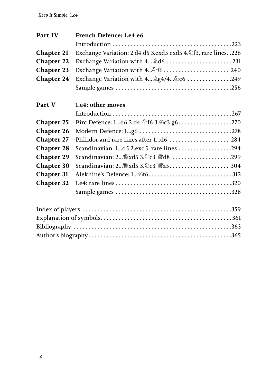| Part IV           | French Defence: 1.e4 e6                                          |  |
|-------------------|------------------------------------------------------------------|--|
|                   |                                                                  |  |
| <b>Chapter 21</b> | Exchange Variation: 2.d4 d5 3.exd5 exd5 4. f3, rare lines. . 226 |  |
| <b>Chapter 22</b> |                                                                  |  |
| <b>Chapter 23</b> | Exchange Variation with 4 2f6 240                                |  |
| <b>Chapter 24</b> | Exchange Variation with 4 @g4/4 2c6 249                          |  |
|                   |                                                                  |  |
| Part V            | 1.e4: other moves                                                |  |
|                   |                                                                  |  |
| <b>Chapter 25</b> | Pirc Defence: 1d6 2.d4 公f6 3.2c3 g6270                           |  |
| <b>Chapter 26</b> |                                                                  |  |
| <b>Chapter 27</b> |                                                                  |  |
| <b>Chapter 28</b> |                                                                  |  |
| <b>Chapter 29</b> |                                                                  |  |
| <b>Chapter 30</b> |                                                                  |  |
| <b>Chapter 31</b> |                                                                  |  |
| <b>Chapter 32</b> |                                                                  |  |
|                   |                                                                  |  |
|                   |                                                                  |  |
|                   |                                                                  |  |
|                   |                                                                  |  |
|                   |                                                                  |  |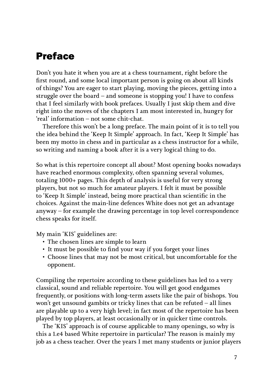## <span id="page-3-0"></span>Preface

Don't you hate it when you are at a chess tournament, right before the first round, and some local important person is going on about all kinds of things? You are eager to start playing, moving the pieces, getting into a struggle over the board – and someone is stopping you! I have to confess that I feel similarly with book prefaces. Usually I just skip them and dive right into the moves of the chapters I am most interested in, hungry for 'real' information – not some chit-chat.

Therefore this won't be a long preface. The main point of it is to tell you the idea behind the 'Keep It Simple' approach. In fact, 'Keep It Simple' has been my motto in chess and in particular as a chess instructor for a while, so writing and naming a book after it is a very logical thing to do.

So what is this repertoire concept all about? Most opening books nowadays have reached enormous complexity, often spanning several volumes, totaling 1000+ pages. This depth of analysis is useful for very strong players, but not so much for amateur players. I felt it must be possible to 'Keep It Simple' instead, being more practical than scientific in the choices. Against the main-line defences White does not get an advantage anyway – for example the drawing percentage in top level correspondence chess speaks for itself.

My main 'KIS' guidelines are:

- The chosen lines are simple to learn
- It must be possible to find your way if you forget your lines
- Choose lines that may not be most critical, but uncomfortable for the opponent.

Compiling the repertoire according to these guidelines has led to a very classical, sound and reliable repertoire. You will get good endgames frequently, or positions with long-term assets like the pair of bishops. You won't get unsound gambits or tricky lines that can be refuted – all lines are playable up to a very high level; in fact most of the repertoire has been played by top players, at least occasionally or in quicker time controls.

The 'KIS' approach is of course applicable to many openings, so why is this a 1.e4 based White repertoire in particular? The reason is mainly my job as a chess teacher. Over the years I met many students or junior players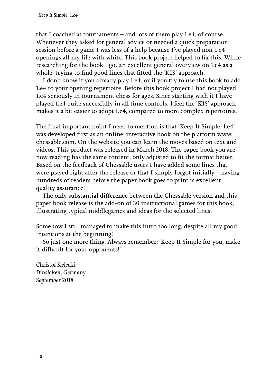that I coached at tournaments – and lots of them play 1.e4, of course. Whenever they asked for general advice or needed a quick preparation session before a game I was less of a help because I've played non-1.e4 openings all my life with white. This book project helped to fix this. While researching for the book I got an excellent general overview on 1.e4 as a whole, trying to find good lines that fitted the 'KIS' approach.

I don't know if you already play 1.e4, or if you try to use this book to add 1.e4 to your opening repertoire. Before this book project I had not played 1.e4 seriously in tournament chess for ages. Since starting with it I have played 1.e4 quite succesfully in all time controls. I feel the 'KIS' approach makes it a bit easier to adopt 1.e4, compared to more complex repertoires.

The final important point I need to mention is that 'Keep It Simple: 1.e4' was developed first as an online, interactive book on the platform www. chessable.com. On the website you can learn the moves based on text and videos. This product was released in March 2018. The paper book you are now reading has the same content, only adjusted to fit the format better. Based on the feedback of Chessable users I have added some lines that were played right after the release or that I simply forgot initially – having hundreds of readers before the paper book goes to print is excellent quality assurance!

The only substantial difference between the Chessable version and this paper book release is the add-on of 30 instructional games for this book, illustrating typical middlegames and ideas for the selected lines.

Somehow I still managed to make this intro too long, despite all my good intentions at the beginning!

So just one more thing. Always remember: 'Keep It Simple for you, make it difficult for your opponents!'

*Christof Sielecki Dinslaken, Germany September 2018*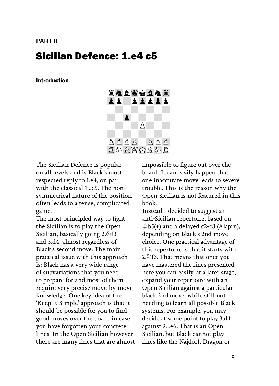## <span id="page-5-0"></span>PART II Sicilian Defence: 1.e4 c5

#### Introduction



The Sicilian Defence is popular on all levels and is Black's most respected reply to 1.e4, on par with the classical 1...e5. The nonsymmetrical nature of the position often leads to a tense, complicated game.

The most principled way to fight the Sicilian is to play the Open Sicilian, basically going 2.♘f3 and 3.d4, almost regardless of Black's second move. The main practical issue with this approach is: Black has a very wide range of subvariations that you need to prepare for and most of them require very precise move-by-move knowledge. One key idea of the 'Keep It Simple' approach is that it should be possible for you to find good moves over the board in case you have forgotten your concrete lines. In the Open Sicilian however there are many lines that are almost impossible to figure out over the board. It can easily happen that one inaccurate move leads to severe trouble. This is the reason why the Open Sicilian is not featured in this book.

Instead I decided to suggest an anti-Sicilian repertoire, based on ♗b5(+) and a delayed c2-c3 (Alapin), depending on Black's 2nd move choice. One practical advantage of this repertoire is that it starts with 2. $\triangle$ f3. That means that once you have mastered the lines presented here you can easily, at a later stage, expand your repertoire with an Open Sicilian against a particular black 2nd move, while still not needing to learn all possible Black systems. For example, you may decide at some point to play 3.d4 against 2...e6. That is an Open Sicilian, but Black cannot play lines like the Najdorf, Dragon or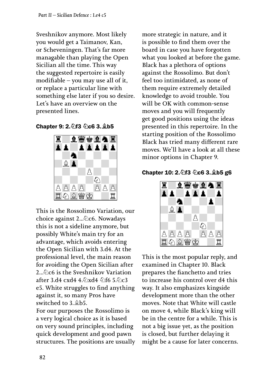Sveshnikov anymore. Most likely you would get a Taimanov, Kan, or Scheveningen. That's far more managable than playing the Open Sicilian all the time. This way the suggested repertoire is easily modifiable – you may use all of it, or replace a particular line with something else later if you so desire. Let's have an overview on the presented lines.

Chapter 9: 2.♘f3 ♘c6 3.♗b5



This is the Rossolimo Variation, our choice against 2...♘c6. Nowadays this is not a sideline anymore, but possibly White's main try for an advantage, which avoids entering the Open Sicilian with 3.d4. At the professional level, the main reason for avoiding the Open Sicilian after 2...♘c6 is the Sveshnikov Variation after 3.d4 cxd4 4.♘xd4 ♘f6 5.♘c3 e5. White struggles to find anything against it, so many Pros have switched to 3.♗b5.

For our purposes the Rossolimo is a very logical choice as it is based on very sound principles, including quick development and good pawn structures. The positions are usually more strategic in nature, and it is possible to find them over the board in case you have forgotten what you looked at before the game. Black has a plethora of options against the Rossolimo. But don't feel too intimidated, as none of them require extremely detailed knowledge to avoid trouble. You will be OK with common-sense moves and you will frequently get good positions using the ideas presented in this repertoire. In the starting position of the Rossolimo Black has tried many different rare moves. We'll have a look at all these minor options in Chapter 9.





This is the most popular reply, and examined in Chapter 10. Black prepares the fianchetto and tries to increase his control over d4 this way. It also emphasizes kingside development more than the other moves. Note that White will castle on move 4, while Black's king will be in the centre for a while. This is not a big issue yet, as the position is closed, but further delaying it might be a cause for later concerns.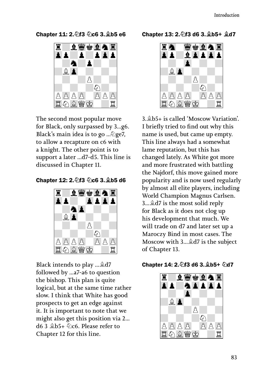Chapter 11: 2.♘f3 ♘c6 3.♗b5 e6



The second most popular move for Black, only surpassed by 3...g6. Black's main idea is to go ...♘ge7, to allow a recapture on c6 with a knight. The other point is to support a later ...d7-d5. This line is discussed in Chapter 11.

Chapter 12: 2.♘f3 ♘c6 3.♗b5 d6



Black intends to play ...♗d7 followed by ...a7-a6 to question the bishop. This plan is quite logical, but at the same time rather slow. I think that White has good prospects to get an edge against it. It is important to note that we might also get this position via 2... d6 3 ♗b5+ ♘c6. Please refer to Chapter 12 for this line.

#### Chapter 13: 2.♘f3 d6 3.♗b5+ ♗d7



3.♗b5+ is called 'Moscow Variation'. I briefly tried to find out why this name is used, but came up empty. This line always had a somewhat lame reputation, but this has changed lately. As White got more and more frustrated with battling the Najdorf, this move gained more popularity and is now used regularly by almost all elite players, including World Champion Magnus Carlsen. 3...♗d7 is the most solid reply for Black as it does not clog up his development that much. We will trade on d7 and later set up a Maroczy Bind in most cases. The Moscow with 3...♗d7 is the subject of Chapter 13.

#### Chapter 14: 2.♘f3 d6 3.♗b5+ ♘d7

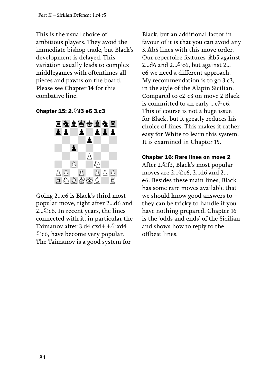This is the usual choice of ambitious players. They avoid the immediate bishop trade, but Black's development is delayed. This variation usually leads to complex middlegames with oftentimes all pieces and pawns on the board. Please see Chapter 14 for this combative line.

Chapter 15: 2.♘f3 e6 3.c3



Going 2...e6 is Black's third most popular move, right after 2...d6 and 2...♘c6. In recent years, the lines connected with it, in particular the Taimanov after 3.d4 cxd4 4. $\Diamond$ xd4 ♘c6, have become very popular. The Taimanov is a good system for

Black, but an additional factor in favour of it is that you can avoid any 3.♗b5 lines with this move order. Our repertoire features ♗b5 against 2...d6 and  $2\ldots\hat{Q}$ c6, but against 2... e6 we need a different approach. My recommendation is to go 3.c3, in the style of the Alapin Sicilian. Compared to c2-c3 on move 2 Black is committed to an early ...e7-e6. This of course is not a huge issue for Black, but it greatly reduces his choice of lines. This makes it rather easy for White to learn this system. It is examined in Chapter 15.

## Chapter 16: Rare lines on move 2

After 2.♘f3, Black's most popular moves are 2...♘c6, 2...d6 and 2... e6. Besides these main lines, Black has some rare moves available that we should know good answers to – they can be tricky to handle if you have nothing prepared. Chapter 16 is the 'odds and ends' of the Sicilian and shows how to reply to the offbeat lines.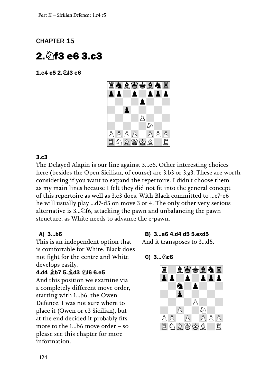## <span id="page-9-0"></span>CHAPTER 15

## $2.6$ f3 e6 3.c3

1.e4 c5 2.♘f3 e6



#### 3.c3

The Delayed Alapin is our line against 3...e6. Other interesting choices here (besides the Open Sicilian, of course) are 3.b3 or 3.g3. These are worth considering if you want to expand the repertoire. I didn't choose them as my main lines because I felt they did not fit into the general concept of this repertoire as well as 3.c3 does. With Black committed to ...e7-e6 he will usually play ...d7-d5 on move 3 or 4. The only other very serious alternative is 3...♘f6, attacking the pawn and unbalancing the pawn structure, as White needs to advance the e-pawn.

#### A) 3...b6

This is an independent option that is comfortable for White. Black does not fight for the centre and White develops easily.

#### 4.d4 ♗b7 5.♗d3 ♘f6 6.e5

And this position we examine via a completely different move order, starting with 1...b6, the Owen Defence. I was not sure where to place it (Owen or c3 Sicilian), but at the end decided it probably fits more to the 1...b6 move order – so please see this chapter for more information.

#### B) 3...a6 4.d4 d5 5.exd5

And it transposes to 3...d5.

#### $C) 3...$  2 $C6$

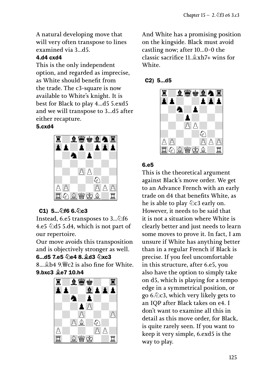A natural developing move that will very often transpose to lines examined via 3...d5.

#### 4.d4 cxd4

This is the only independent option, and regarded as imprecise, as White should benefit from the trade. The c3-square is now available to White's knight. It is best for Black to play 4...d5 5.exd5 and we will transpose to 3...d5 after either recapture.

#### 5.cxd4



## C1) 5... 2f6 6. 2c3

Instead, 6.e5 transposes to 3...♘f6 4.e5  $\triangle$ d5 5.d4, which is not part of our repertoire.

Our move avoids this transposition and is objectively stronger as well.

## 6...d5 7.e5 2e4 8. 2d3 2xc3

 $8...$  $b$ 4  $9$  $w$ c2 is also fine for White. 9.bxc3 ♗e7 10.h4



And White has a promising position on the kingside. Black must avoid castling now; after 10...0-0 the classic sacrifice 11.♗xh7+ wins for White.

#### C2) 5...d5



#### 6.e5

This is the theoretical argument against Black's move order. We get to an Advance French with an early trade on d4 that benefits White, as he is able to play  $\&$ c3 early on. However, it needs to be said that it is not a situation where White is clearly better and just needs to learn some moves to prove it. In fact, I am unsure if White has anything better than in a regular French if Black is precise. If you feel uncomfortable in this structure, after 6.e5, you also have the option to simply take on d5, which is playing for a tempo edge in a symmetrical position, or go 6.♘c3, which very likely gets to an IQP after Black takes on e4. I don't want to examine all this in detail as this move order, for Black, is quite rarely seen. If you want to keep it very simple, 6.exd5 is the way to play.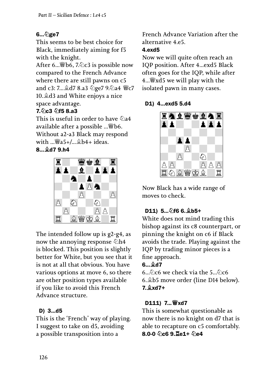## 6...⊘ge7

This seems to be best choice for Black, immediately aiming for f5 with the knight.

After 6...♕b6, 7.♘c3 is possible now compared to the French Advance where there are still pawns on c5 and c3: 7...♗d7 8.a3 ♘ge7 9.♘a4 ♕c7 10.♗d3 and White enjoys a nice space advantage.

## 7.♘c3 ♘f5 8.a3

This is useful in order to have  $\triangle$ a4 available after a possible ...♕b6. Without a2-a3 Black may respond with  $\mathbb{W}_{a}$   $\mathbb{S}_{+}/\mathbb{R}$   $\mathbb{S}_{b}$   $\mathbb{S}_{+}$  ideas.

8...♗d7 9.h4



The intended follow up is g2-g4, as now the annoying response  $\&$ h4 is blocked. This position is slightly better for White, but you see that it is not at all that obvious. You have various options at move 6, so there are other position types available if you like to avoid this French Advance structure.

## D) 3...d5

This is the 'French' way of playing. I suggest to take on d5, avoiding a possible transposition into a

French Advance Variation after the alternative 4.e5.

#### 4.exd5

Now we will quite often reach an IQP position. After 4...exd5 Black often goes for the IQP, while after 4...♕xd5 we will play with the isolated pawn in many cases.

## D1) 4...exd5 5.d4



Now Black has a wide range of moves to check.

## D11) 5... 2f6 6. *⊉b5+*

White does not mind trading this bishop against its c8 counterpart, or pinning the knight on c6 if Black avoids the trade. Playing against the IQP by trading minor pieces is a fine approach.

## $6...$  $0.6$

6...♘c6 we check via the 5...♘c6 6.♗b5 move order (line D14 below). 7.♗xd7+

## D111) 7... *Wi*xd7

This is somewhat questionable as now there is no knight on d7 that is able to recapture on c5 comfortably. 8.0-0 2c6 9. Le1+ 2e4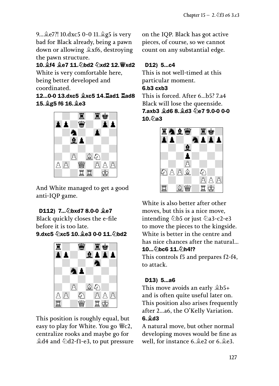9...♗e7?! 10.dxc5 0-0 11.♗g5 is very bad for Black already, being a pawn down or allowing ♗xf6, destroying the pawn structure.

10.♗f4 ♗e7 11.♘bd2 ♘xd2 12.♕xd2 White is very comfortable here,

being better developed and coordinated.

12...0-0 13.dxc5 ♗xc5 14.♖ad1 ♖ad8 15.♗g5 f6 16.♗e3



And White managed to get a good anti-IQP game.

## D112) 7... 2bxd7 8.0-0 <del>©e7</del>

Black quickly closes the e-file before it is too late. 9.dxc5  $\Diamond$ xc5 10. e3 0-0 11. $\Diamond$ bd2



This position is roughly equal, but easy to play for White. You go ♕c2, centralize rooks and maybe go for ♗d4 and ♘d2-f1-e3, to put pressure

on the IQP. Black has got active pieces, of course, so we cannot count on any substantial edge.

## D12) 5...c4

This is not well-timed at this particular moment.

#### 6.b3 cxb3

This is forced. After 6...b5? 7.a4 Black will lose the queenside. 7.axb3 ♗d6 8.♗d3 ♘e7 9.0-0 0-0  $10.$  $\Diamond$ a3



White is also better after other moves, but this is a nice move, intending ⊘b5 or just ⊘a3-c2-e3 to move the pieces to the kingside. White is better in the centre and has nice chances after the natural... 10... 2bc6 11. 2h4!?

This controls f5 and prepares f2-f4, to attack.

## D13) 5...a6

This move avoids an early ♗b5+ and is often quite useful later on. This position also arises frequently after 2...a6, the O'Kelly Variation. 6.♗d3

A natural move, but other normal developing moves would be fine as well, for instance 6.♗e2 or 6.♗e3.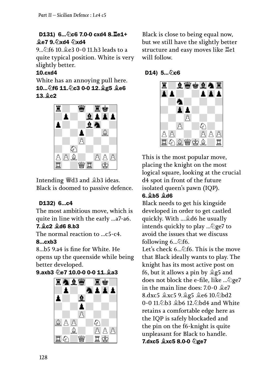## D131) 6... 2c6 7.0-0 cxd4 8. Le1+ **Le7 9. 2xd4** 2xd4

9... hf6 10. e3 0-0 11.h3 leads to a quite typical position. White is very slightly better.

## 10.cxd4

White has an annoying pull here. 10...♘f6 11.♘c3 0-0 12.♗g5 ♗e6  $13.$  $9c2$ 



Intending ♕d3 and ♗b3 ideas. Black is doomed to passive defence.

## D132) 6...c4

The most ambitious move, which is quite in line with the early ...a7-a6.

## 7.♗c2 ♗d6 8.b3

The normal reaction to ...c5-c4. 8...cxb3

8...b5 9.a4 is fine for White. He opens up the queenside while being

better developed.

## 9.axb3 2e7 10.0-0 0-0 11. 2a3



Black is close to being equal now, but we still have the slightly better structure and easy moves like ♖e1 will follow.

## D14)  $5...$ ② $c6$



This is the most popular move, placing the knight on the most logical square, looking at the crucial d4 spot in front of the future isolated queen's pawn (IQP).

## 6.♗b5 ♗d6

Black needs to get his kingside developed in order to get castled quickly. With ...♗d6 he usually intends quickly to play ...♘ge7 to avoid the issues that we discuss following  $6...\hat{6}$  fo.

Let's check 6... <sup>2</sup>f6. This is the move that Black ideally wants to play. The knight has its most active post on f6, but it allows a pin by  $\triangleq$ g5 and does not block the e-file, like ...♘ge7 in the main line does: 7.0-0 ♗e7 8.dxc5 ♗xc5 9.♗g5 ♗e6 10.♘bd2 0-0 11.♘b3 ♗b6 12.♘bd4 and White retains a comfortable edge here as the IQP is safely blockaded and the pin on the f6-knight is quite unpleasant for Black to handle. 7.dxc5 ♗xc5 8.0-0 ♘ge7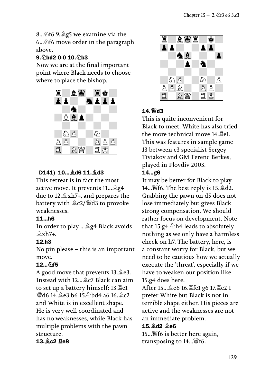8...♘f6 9.♗g5 we examine via the 6...♘f6 move order in the paragraph above.

#### 9. hd2 0-0 10. h3

Now we are at the final important point where Black needs to choose where to place the bishop.



## D141) 10...♗d6 11.♗d3

This retreat is in fact the most active move. It prevents 11...♗g4 due to 12.♗xh7+, and prepares the battery with ♗c2/♕d3 to provoke weaknesses.

#### 11...h6

In order to play ...♗g4 Black avoids  $\hat{\mathbb{Z}}$ xh7+.

## 12.h3

No pin please – this is an important move.

## 12... hf5

A good move that prevents 13.♗e3. Instead with 12...♗c7 Black can aim to set up a battery himself: 13.♖e1 ♕d6 14.♗e3 b6 15.♘bd4 a6 16.♗c2 and White is in excellent shape. He is very well coordinated and has no weaknesses, while Black has multiple problems with the pawn structure.

## 13.♗c2 ♖e8



## 14.♕d3

This is quite inconvenient for Black to meet. White has also tried the more technical move 14.♖e1. This was features in sample game 13 between c3 specialist Sergey Tiviakov and GM Ferenc Berkes, played in Plovdiv 2003. 14...g6

It may be better for Black to play 14... $\mathscr{W}$ f6. The best reply is 15. $\mathscr{\triangleleft}$ d2. Grabbing the pawn on d5 does not lose immediately but gives Black strong compensation. We should rather focus on development. Note that 15.g4  $\triangle$ h4 leads to absolutely nothing as we only have a harmless check on h7. The battery, here, is a constant worry for Black, but we need to be cautious how we actually execute the 'threat', especially if we have to weaken our position like 15.g4 does here.

After 15...♗e6 16.♖fe1 g6 17.♖e2 I prefer White but Black is not in terrible shape either. His pieces are active and the weaknesses are not an immediate problem.

#### 15.♗d2 ♗e6

15...♕f6 is better here again, transposing to 14...♕f6.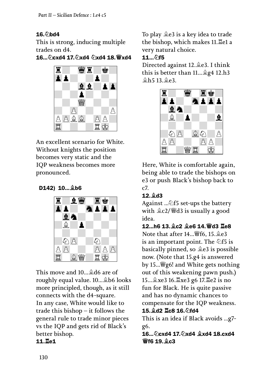## $16.$  hd $4$

This is strong, inducing multiple trades on d4.

16...⊘cxd4 17. ②xd4 ②xd4 18. 曾xd4



An excellent scenario for White. Without knights the position becomes very static and the IQP weakness becomes more pronounced.

D142) 10...♗b6



This move and 10...♗d6 are of roughly equal value. 10...♗b6 looks more principled, though, as it still connects with the d4-square. In any case, White would like to trade this bishop – it follows the general rule to trade minor pieces vs the IQP and gets rid of Black's better bishop.

## 11.♖e1

To play ♗e3 is a key idea to trade the bishop, which makes 11.♖e1 a very natural choice.

## 11... **hf5**

Directed against 12.♗e3. I think this is better than 11...♗g4 12.h3 ♗h5 13.♗e3.



Here, White is comfortable again, being able to trade the bishops on e3 or push Black's bishop back to c7.

## 12.♗d3

Against ...∕  $\triangle$ f5 set-ups the battery with ♗c2/♕d3 is usually a good idea.

12...h6 13.♗c2 ♗e6 14.♕d3 ♖e8 Note that after 14...♕f6, 15.♗e3 is an important point. The  $\&$ f5 is basically pinned, so ♗e3 is possible now. (Note that 15.g4 is answered by 15...♕g6! and White gets nothing out of this weakening pawn push.) 15...♗xe3 16.♖xe3 g6 17.♖e2 is no fun for Black. He is quite passive and has no dynamic chances to compensate for the IQP weakness. 15. d2 **Le8** 16. hd4

This is an idea if Black avoids ...g7 g6. 16...♘cxd4 17.♘xd4 ♗xd4 18.cxd4

♕f6 19.♗c3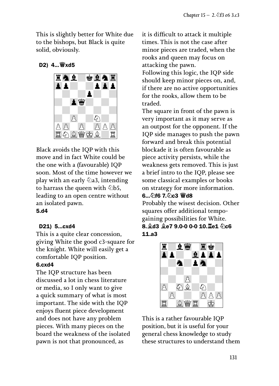This is slightly better for White due to the bishops, but Black is quite solid, obviously.

#### D2) 4...♕xd5



Black avoids the IQP with this move and in fact White could be the one with a (favourable) IQP soon. Most of the time however we play with an early  $\Diamond a3$ , intending to harrass the queen with ♘b5, leading to an open centre without an isolated pawn. 5.d4

#### D21) 5...cxd4

This is a quite clear concession, giving White the good c3-square for the knight. White will easily get a comfortable IQP position.

#### 6.cxd4

The IQP structure has been discussed a lot in chess literature or media, so I only want to give a quick summary of what is most important. The side with the IQP enjoys fluent piece development and does not have any problem pieces. With many pieces on the board the weakness of the isolated pawn is not that pronounced, as

it is difficult to attack it multiple times. This is not the case after minor pieces are traded, when the rooks and queen may focus on attacking the pawn. Following this logic, the IQP side should keep minor pieces on, and, if there are no active opportunities for the rooks, allow them to be traded.

The square in front of the pawn is very important as it may serve as an outpost for the opponent. If the IQP side manages to push the pawn forward and break this potential blockade it is often favourable as piece activity persists, while the weakness gets removed. This is just a brief intro to the IQP, please see some classical examples or books on strategy for more information.

#### 6... *o*f6 7. oc3 曾d8

Probably the wisest decision. Other squares offer additional tempogaining possibilities for White. 8. 2d3 2e7 9.0-0 0-0 10. Le1 hc6 11.a3



This is a rather favourable IQP position, but it is useful for your general chess knowledge to study these structures to understand them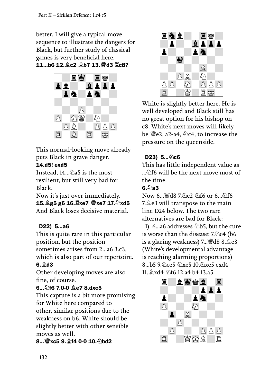better. I will give a typical move sequence to illustrate the dangers for Black, but further study of classical games is very beneficial here. 11...b6 12.♗c2 ♗b7 13.♕d3 ♖c8?



This normal-looking move already puts Black in grave danger.

## 14.d5! exd5

Instead, 14...♘a5 is the most resilient, but still very bad for Black.

Now it's just over immediately. 15.♗g5 g6 16.♖xe7 ♕xe7 17.♘xd5 And Black loses decisive material.

## D22) 5...a6

This is quite rare in this particular position, but the position sometimes arises from 2...a6 3.c3,

which is also part of our repertoire. 6.♗d3

Other developing moves are also fine, of course.

## 6...♘f6 7.0-0 ♗e7 8.dxc5

This capture is a bit more promising for White here compared to other, similar positions due to the weakness on b6. White should be slightly better with other sensible moves as well.

**8... 曾xc5 9. 曾f4 0-0 10. 公bd2** 



White is slightly better here. He is well developed and Black still has no great option for his bishop on c8. White's next moves will likely be  $\mathcal{L}_e$  e2, a2-a4,  $\Diamond$ c4, to increase the pressure on the queenside.

## D23)  $5...$ ② $c6$

This has little independent value as  $\hat{\phi}$  of 6 will be the next move most of the time.

## $6.$   $\Diamond$ a3

Now 6...♕d8 7.♘c2 ♘f6 or 6...♘f6 7.♗e3 will transpose to the main line D24 below. The two rare alternatives are bad for Black:

1) 6...a6 addresses  $\triangle$ b5, but the cure is worse than the disease:  $7.$   $\&$  c4 (b6 is a glaring weakness) 7...♕d8 8.♗e3 (White's developmental advantage is reaching alarming proportions) 8...b5 9.4 ce5 4 xe5 10.4 xe5 cxd4 11.♗xd4 ♘f6 12.a4 b4 13.a5.

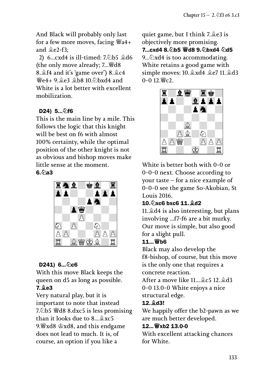And Black will probably only last for a few more moves, facing  $\mathcal{Q}_4 +$ and ♗e2-f3;

2) 6...cxd4 is ill-timed: 7.♘b5 ♗d6 (the only move already; 7...♕d8 8.♗f4 and it's 'game over') 8.♗c4 ♕e4+ 9.♗e3 ♗b8 10.♘bxd4 and White is a lot better with excellent mobilization.

## D24) 5… ⁄ 16

This is the main line by a mile. This follows the logic that this knight will be best on f6 with almost 100% certainty, while the optimal position of the other knight is not as obvious and bishop moves make little sense at the moment.  $6.6a3$ 



## D241) 6... 2c6

With this move Black keeps the queen on d5 as long as possible. 7.♗e3

Very natural play, but it is important to note that instead 7.♘b5 ♕d8 8.dxc5 is less promising than it looks due to 8...♗xc5 9.♕xd8 ♔xd8, and this endgame does not lead to much. It is, of course, an option if you like a

quiet game, but I think 7.♗e3 is objectively more promising. 7...cxd4 8. h5 彎d8 9. hxd4 hd5 9... $\Diamond$ xd4 is too accommodating. White retains a good game with simple moves: 10.♗xd4 ♗e7 11.♗d3  $0 - 0.12$  \cm 2.



White is better both with 0-0 or 0-0-0 next. Choose according to your taste – for a nice example of 0-0-0 see the game So-Akobian, St Louis 2016.

## 10.♘xc6 bxc6 11.♗d2

11.♗d4 is also interesting, but plans involving ...f7-f6 are a bit murky. Our move is simple, but also good for a slight pull.

#### 11...♕b6

Black may also develop the f8-bishop, of course, but this move is the only one that requires a concrete reaction.

After a move like 11...♗c5 12.♗d3 0-0 13.0-0 White enjoys a nice structural edge.

#### 12.♗d3!

We happily offer the b2-pawn as we are much better developed.

#### 12...♕xb2 13.0-0

With excellent attacking chances for White.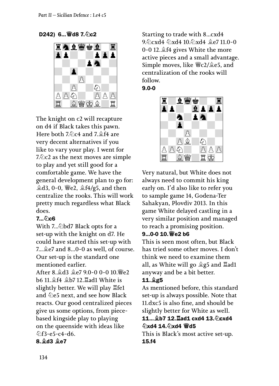D242) 6... 曾d8 7. 公c2



The knight on c2 will recapture on d4 if Black takes this pawn. Here both 7.♘c4 and 7.♗f4 are very decent alternatives if you like to vary your play. I went for 7. $\triangle$ c2 as the next moves are simple to play and yet still good for a comfortable game. We have the general development plan to go for:  $\triangle$ **d3, 0-0, 曾e2,**  $\triangleq$ **f4/g5, and then** centralize the rooks. This will work pretty much regardless what Black does.

## 7... 2c6

With 7...♘bd7 Black opts for a set-up with the knight on d7. He could have started this set-up with 7... $\triangleq$ e7 and 8...0-0 as well, of course. Our set-up is the standard one mentioned earlier.

After 8.♗d3 ♗e7 9.0-0 0-0 10.♕e2 b6 11.♗f4 ♗b7 12.♖ad1 White is slightly better. We will play ♖fe1 and  $\&e5$  next, and see how Black reacts. Our good centralized pieces give us some options, from piecebased kingside play to playing on the queenside with ideas like ♘f3-e5-c4-d6.

8.♗d3 ♗e7

Starting to trade with 8...cxd4 9.♘cxd4 ♘xd4 10.♘xd4 ♗e7 11.0-0 0-0 12.♗f4 gives White the more active pieces and a small advantage. Simple moves, like ♕c2/♗e5, and centralization of the rooks will follow. 9.0-0

$$
\begin{array}{ccccccccc}\n\mathbf{1} & \mathbf{2} & \mathbf{3} & \mathbf{4} & \mathbf{5} & \mathbf{5} & \mathbf{5} & \mathbf{5} & \mathbf{5} & \mathbf{5} & \mathbf{5} & \mathbf{5} & \mathbf{5} & \mathbf{5} & \mathbf{5} & \mathbf{5} & \mathbf{5} & \mathbf{5} & \mathbf{5} & \mathbf{5} & \mathbf{5} & \mathbf{5} & \mathbf{5} & \mathbf{5} & \mathbf{5} & \mathbf{5} & \mathbf{5} & \mathbf{5} & \mathbf{5} & \mathbf{5} & \mathbf{5} & \mathbf{5} & \mathbf{5} & \mathbf{5} & \mathbf{5} & \mathbf{5} & \mathbf{5} & \mathbf{5} & \mathbf{5} & \mathbf{5} & \mathbf{5} & \mathbf{5} & \mathbf{5} & \mathbf{5} & \mathbf{5} & \mathbf{5} & \mathbf{5} & \mathbf{5} & \mathbf{5} & \mathbf{5} & \mathbf{5} & \mathbf{5} & \mathbf{5} & \mathbf{5} & \mathbf{5} & \mathbf{5} & \mathbf{5} & \mathbf{5} & \mathbf{5} & \mathbf{5} & \mathbf{5} & \mathbf{5} & \mathbf{5} & \mathbf{5} & \mathbf{5} & \mathbf{5} & \mathbf{5} & \mathbf{5} & \mathbf{5} & \mathbf{5} & \mathbf{5} & \mathbf{5} & \mathbf{5} & \mathbf{5} & \mathbf{5} & \mathbf{5} & \mathbf{5} & \mathbf{5} & \mathbf{5} & \mathbf{5} & \mathbf{5} & \mathbf{5} & \mathbf{5} & \mathbf{5} & \mathbf{5} & \mathbf{5} & \mathbf{5} & \mathbf{5} & \mathbf{5} & \mathbf{5} & \mathbf{5} & \mathbf{5} & \mathbf{5} & \mathbf{5} & \mathbf{5} & \mathbf{5} & \mathbf{5} & \mathbf{5} & \mathbf{5} & \mathbf{5} & \mathbf{5} & \mathbf{5} & \mathbf{5} & \mathbf{5} & \mathbf{5} & \mathbf{5} & \mathbf{5} & \
$$

Very natural, but White does not always need to commit his king early on. I'd also like to refer you to sample game 14, Godena-Ter Sahakyan, Plovdiv 2013. In this game White delayed castling in a very similar position and managed to reach a promising position.

#### 9...0-0 10.♕e2 b6

This is seen most often, but Black has tried some other moves. I don't think we need to examine them all, as White will go ♗g5 and ♖ad1 anyway and be a bit better.

## 11.♗g5

As mentioned before, this standard set-up is always possible. Note that 11.dxc5 is also fine, and should be slightly better for White as well.

#### 11...♗b7 12.♖ad1 cxd4 13.♘cxd4 ♘xd4 14.♘xd4 ♕d5

This is Black's most active set-up. 15.f4